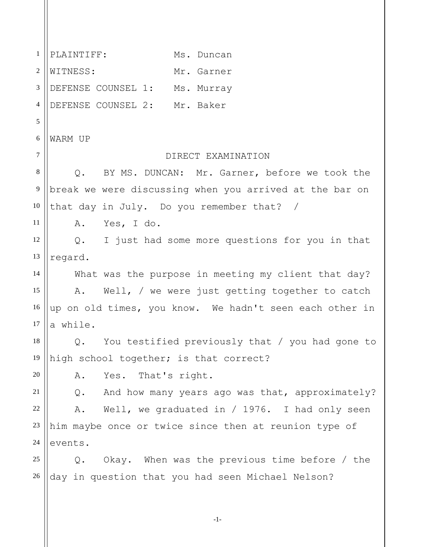PLAINTIFF: Ms. Duncan 1 2 3 4 5 6 7 8 9 10 11 12 13 14 15 16 17 18 19 20 21 22 23 24 25 26 WITNESS: Mr. Garner DEFENSE COUNSEL 1: Ms. Murray DEFENSE COUNSEL 2: Mr. Baker WARM UP DIRECT EXAMINATION Q. BY MS. DUNCAN: Mr. Garner, before we took the break we were discussing when you arrived at the bar on that day in July. Do you remember that? / A. Yes, I do. Q. I just had some more questions for you in that regard. What was the purpose in meeting my client that day? A. Well, / we were just getting together to catch up on old times, you know. We hadn't seen each other in a while. Q. You testified previously that / you had gone to high school together; is that correct? A. Yes. That's right. Q. And how many years ago was that, approximately? A. Well, we graduated in / 1976. I had only seen him maybe once or twice since then at reunion type of events. Q. Okay. When was the previous time before / the day in question that you had seen Michael Nelson?

-1-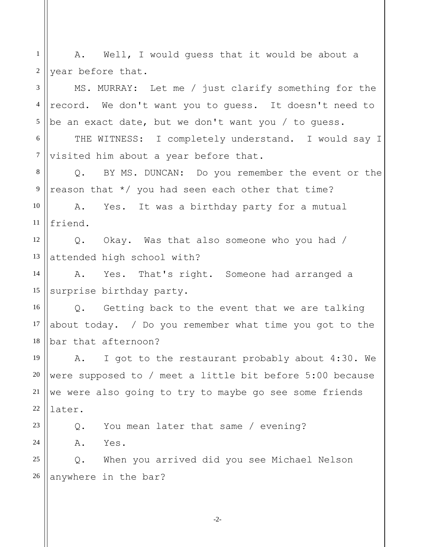1 2 3 4 5 6 7 8 9 10 11 12 13 14 15 16 17 18 19 20 21 22 23 24 25 26 A. Well, I would guess that it would be about a year before that. MS. MURRAY: Let me / just clarify something for the record. We don't want you to guess. It doesn't need to be an exact date, but we don't want you / to guess. THE WITNESS: I completely understand. I would say I visited him about a year before that. Q. BY MS. DUNCAN: Do you remember the event or the reason that \*/ you had seen each other that time? A. Yes. It was a birthday party for a mutual friend. Q. Okay. Was that also someone who you had / attended high school with? A. Yes. That's right. Someone had arranged a surprise birthday party. Q. Getting back to the event that we are talking about today. / Do you remember what time you got to the bar that afternoon? A. I got to the restaurant probably about 4:30. We were supposed to / meet a little bit before 5:00 because we were also going to try to maybe go see some friends later. Q. You mean later that same / evening? A. Yes. Q. When you arrived did you see Michael Nelson anywhere in the bar?

-2-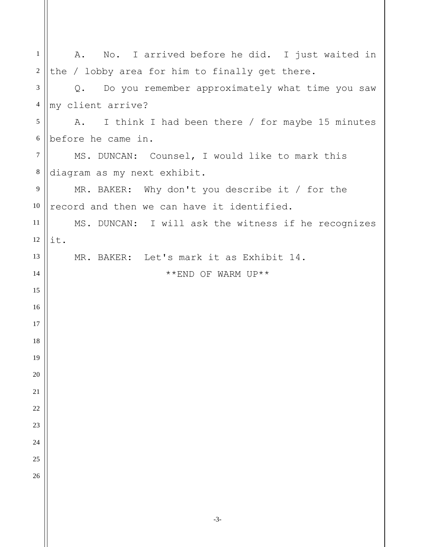| $\mathbf{1}$   | No. I arrived before he did. I just waited in<br>Α.              |
|----------------|------------------------------------------------------------------|
| $\overline{2}$ | the / lobby area for him to finally get there.                   |
| 3              | Do you remember approximately what time you saw<br>$Q_{\bullet}$ |
| $\overline{4}$ | my client arrive?                                                |
| 5              | I think I had been there / for maybe 15 minutes<br>A.            |
| $6\,$          | before he came in.                                               |
| $\tau$         | MS. DUNCAN: Counsel, I would like to mark this                   |
| $\,8\,$        | diagram as my next exhibit.                                      |
| 9              | MR. BAKER: Why don't you describe it / for the                   |
| 10             | record and then we can have it identified.                       |
| 11             | MS. DUNCAN: I will ask the witness if he recognizes              |
| 12             | it.                                                              |
| 13             | MR. BAKER: Let's mark it as Exhibit 14.                          |
| 14             | **END OF WARM UP**                                               |
| 15             |                                                                  |
| 16             |                                                                  |
| 17             |                                                                  |
| 18             |                                                                  |
| 19             |                                                                  |
| 20             |                                                                  |
| $21\,$         |                                                                  |
| 22             |                                                                  |
| 23             |                                                                  |
| 24             |                                                                  |
| 25             |                                                                  |
| 26             |                                                                  |
|                |                                                                  |
|                |                                                                  |

-3-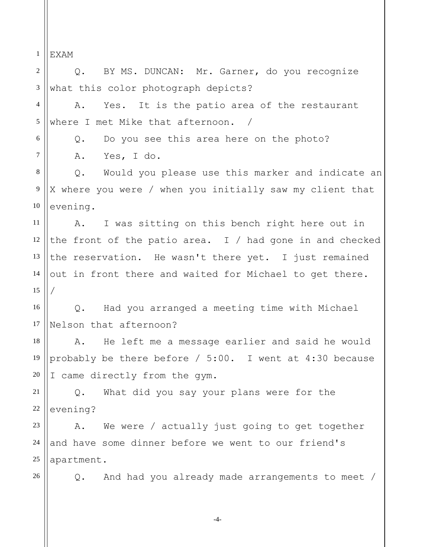1 EXAM

2 3 4 5 6 7 8 9 10 11 12 13 14 15 16 17 18 19 20 21 22 23 24 25 26 Q. BY MS. DUNCAN: Mr. Garner, do you recognize what this color photograph depicts? A. Yes. It is the patio area of the restaurant where I met Mike that afternoon. / Q. Do you see this area here on the photo? A. Yes, I do. Q. Would you please use this marker and indicate an X where you were / when you initially saw my client that evening. A. I was sitting on this bench right here out in the front of the patio area. I  $/$  had gone in and checked the reservation. He wasn't there yet. I just remained out in front there and waited for Michael to get there. / Q. Had you arranged a meeting time with Michael Nelson that afternoon? A. He left me a message earlier and said he would probably be there before / 5:00. I went at 4:30 because I came directly from the gym. Q. What did you say your plans were for the evening? A. We were / actually just going to get together and have some dinner before we went to our friend's apartment. Q. And had you already made arrangements to meet /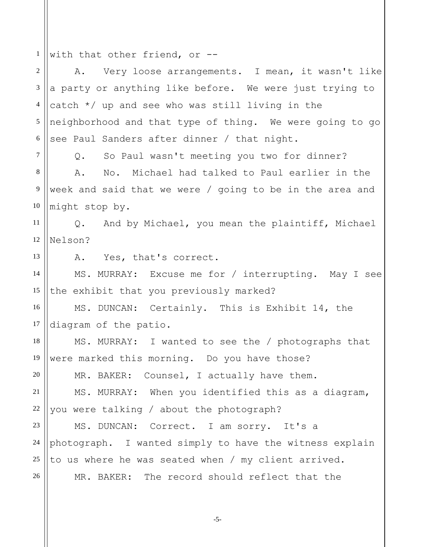1 with that other friend, or --

2 3 4 5 6 7 8 9 10 11 12 13 14 15 16 17 18 19 20 21 22 23 24 25 26 A. Very loose arrangements. I mean, it wasn't like a party or anything like before. We were just trying to catch \*/ up and see who was still living in the neighborhood and that type of thing. We were going to go see Paul Sanders after dinner / that night. Q. So Paul wasn't meeting you two for dinner? A. No. Michael had talked to Paul earlier in the week and said that we were / going to be in the area and might stop by. Q. And by Michael, you mean the plaintiff, Michael Nelson? A. Yes, that's correct. MS. MURRAY: Excuse me for / interrupting. May I see the exhibit that you previously marked? MS. DUNCAN: Certainly. This is Exhibit 14, the diagram of the patio. MS. MURRAY: I wanted to see the / photographs that were marked this morning. Do you have those? MR. BAKER: Counsel, I actually have them. MS. MURRAY: When you identified this as a diagram, you were talking / about the photograph? MS. DUNCAN: Correct. I am sorry. It's a photograph. I wanted simply to have the witness explain to us where he was seated when / my client arrived. MR. BAKER: The record should reflect that the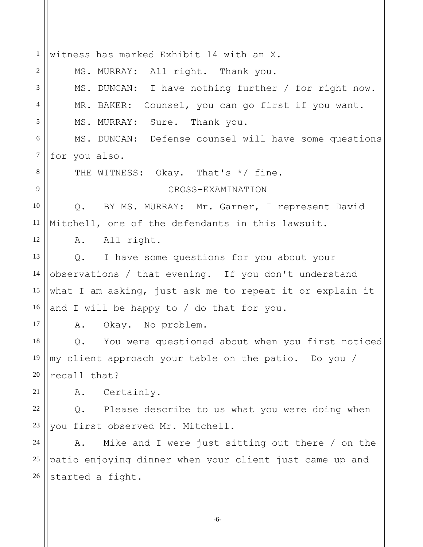1 2 3 4 5 6 7 8 9 10 11 12 13 14 15 16 17 18 19 20 21 22 23 24 25 26 witness has marked Exhibit 14 with an X. MS. MURRAY: All right. Thank you. MS. DUNCAN: I have nothing further / for right now. MR. BAKER: Counsel, you can go first if you want. MS. MURRAY: Sure. Thank you. MS. DUNCAN: Defense counsel will have some questions for you also. THE WITNESS: Okay. That's \*/ fine. CROSS-EXAMINATION Q. BY MS. MURRAY: Mr. Garner, I represent David Mitchell, one of the defendants in this lawsuit. A. All right. Q. I have some questions for you about your observations / that evening. If you don't understand what I am asking, just ask me to repeat it or explain it and I will be happy to / do that for you. A. Okay. No problem. Q. You were questioned about when you first noticed my client approach your table on the patio. Do you / recall that? A. Certainly. Q. Please describe to us what you were doing when you first observed Mr. Mitchell. A. Mike and I were just sitting out there / on the patio enjoying dinner when your client just came up and started a fight.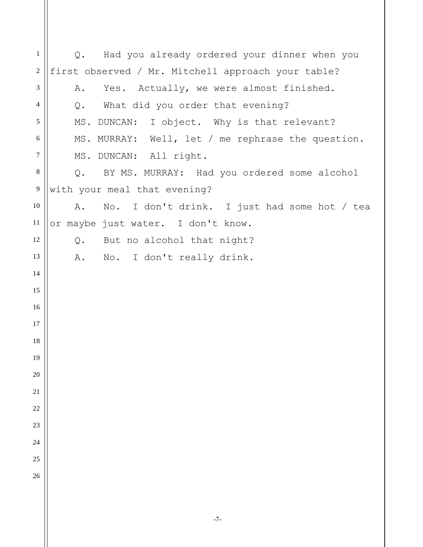Q. Had you already ordered your dinner when you first observed / Mr. Mitchell approach your table? A. Yes. Actually, we were almost finished. Q. What did you order that evening? MS. DUNCAN: I object. Why is that relevant? MS. MURRAY: Well, let / me rephrase the question. MS. DUNCAN: All right. Q. BY MS. MURRAY: Had you ordered some alcohol with your meal that evening? A. No. I don't drink. I just had some hot / tea or maybe just water. I don't know. Q. But no alcohol that night? A. No. I don't really drink.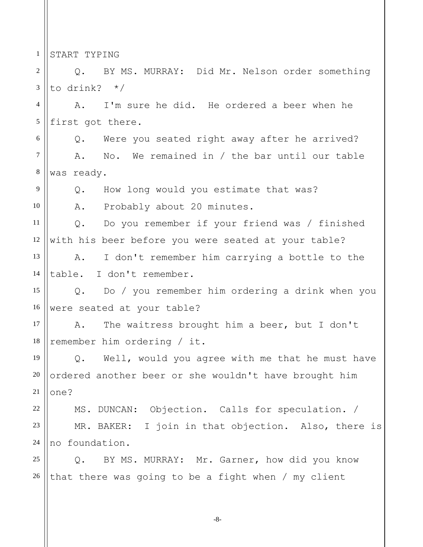1 START TYPING

9

10

2 3 Q. BY MS. MURRAY: Did Mr. Nelson order something to drink? \*/

4 5 A. I'm sure he did. He ordered a beer when he first got there.

6 7 8 Q. Were you seated right away after he arrived? A. No. We remained in / the bar until our table was ready.

Q. How long would you estimate that was?

A. Probably about 20 minutes.

11 12 Q. Do you remember if your friend was / finished with his beer before you were seated at your table?

13 14 A. I don't remember him carrying a bottle to the table. I don't remember.

15 16 Q. Do / you remember him ordering a drink when you were seated at your table?

17 18 A. The waitress brought him a beer, but I don't remember him ordering / it.

19 20 21 Q. Well, would you agree with me that he must have ordered another beer or she wouldn't have brought him one?

 MS. DUNCAN: Objection. Calls for speculation. / 22 23 24 MR. BAKER: I join in that objection. Also, there is no foundation.

25 26 Q. BY MS. MURRAY: Mr. Garner, how did you know that there was going to be a fight when / my client

-8-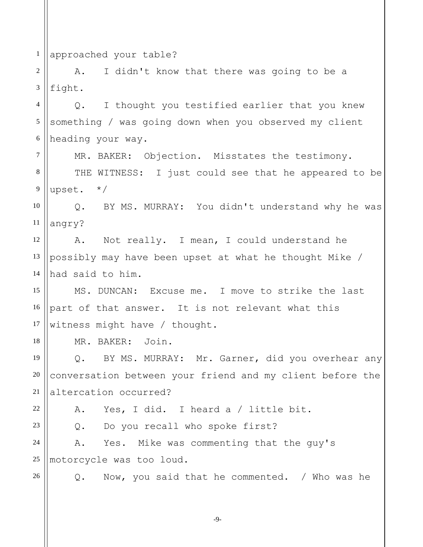1 approached your table?

2 3 A. I didn't know that there was going to be a fight.

4 5 6 Q. I thought you testified earlier that you knew something / was going down when you observed my client heading your way.

MR. BAKER: Objection. Misstates the testimony.

8 9 THE WITNESS: I just could see that he appeared to be upset. \*/

10 11 Q. BY MS. MURRAY: You didn't understand why he was angry?

12 13 14 A. Not really. I mean, I could understand he possibly may have been upset at what he thought Mike / had said to him.

15 16 17 MS. DUNCAN: Excuse me. I move to strike the last part of that answer. It is not relevant what this witness might have / thought.

MR. BAKER: Join.

19 20 21 Q. BY MS. MURRAY: Mr. Garner, did you overhear any conversation between your friend and my client before the altercation occurred?

22 23

18

7

A. Yes, I did. I heard a / little bit.

Q. Do you recall who spoke first?

24 25 A. Yes. Mike was commenting that the guy's motorcycle was too loud.

26

Q. Now, you said that he commented. / Who was he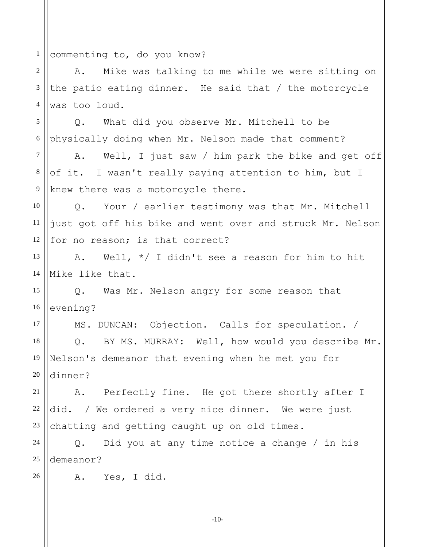1 commenting to, do you know?

2 3 4 A. Mike was talking to me while we were sitting on the patio eating dinner. He said that / the motorcycle was too loud.

5 6 Q. What did you observe Mr. Mitchell to be physically doing when Mr. Nelson made that comment?

7 8 9 A. Well, I just saw / him park the bike and get off of it. I wasn't really paying attention to him, but I knew there was a motorcycle there.

10 11 12 Q. Your / earlier testimony was that Mr. Mitchell just got off his bike and went over and struck Mr. Nelson for no reason; is that correct?

13 14 A. Well, \*/ I didn't see a reason for him to hit Mike like that.

15 16 Q. Was Mr. Nelson angry for some reason that evening?

17 18 19 20 MS. DUNCAN: Objection. Calls for speculation. / Q. BY MS. MURRAY: Well, how would you describe Mr. Nelson's demeanor that evening when he met you for dinner?

21 22 23 A. Perfectly fine. He got there shortly after I did. / We ordered a very nice dinner. We were just chatting and getting caught up on old times.

24 25 Q. Did you at any time notice a change / in his demeanor?

A. Yes, I did.

26

-10-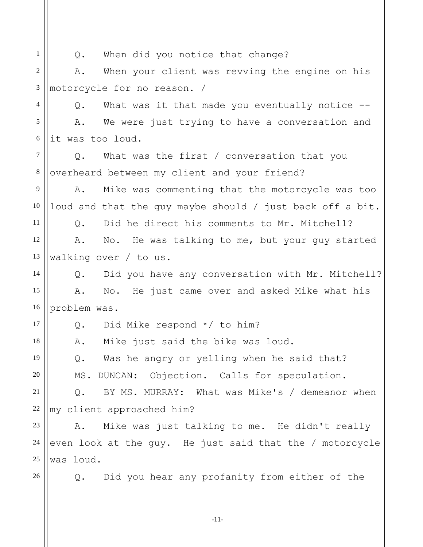1

11

17

18

19

20

Q. When did you notice that change?

2 3 A. When your client was revving the engine on his motorcycle for no reason. /

4 5 6 Q. What was it that made you eventually notice -- A. We were just trying to have a conversation and it was too loud.

7 8 Q. What was the first / conversation that you overheard between my client and your friend?

9 10 A. Mike was commenting that the motorcycle was too loud and that the guy maybe should / just back off a bit.

Q. Did he direct his comments to Mr. Mitchell?

12 13 A. No. He was talking to me, but your guy started walking over / to us.

14 15 16 Q. Did you have any conversation with Mr. Mitchell? A. No. He just came over and asked Mike what his problem was.

Q. Did Mike respond \*/ to him?

A. Mike just said the bike was loud.

Q. Was he angry or yelling when he said that? MS. DUNCAN: Objection. Calls for speculation.

21 22 Q. BY MS. MURRAY: What was Mike's / demeanor when my client approached him?

23 24 25 A. Mike was just talking to me. He didn't really even look at the guy. He just said that the / motorcycle was loud.

26

Q. Did you hear any profanity from either of the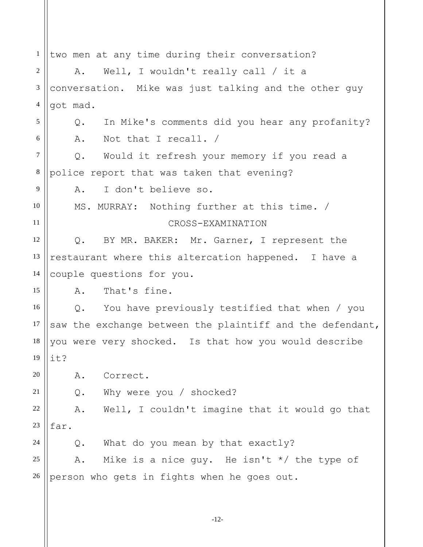1 2 3 4 5 6 7 8 9 10 11 12 13 14 15 16 17 18 19 20 21 22 23 24 25 26 two men at any time during their conversation? A. Well, I wouldn't really call / it a conversation. Mike was just talking and the other guy got mad. Q. In Mike's comments did you hear any profanity? A. Not that I recall. / Q. Would it refresh your memory if you read a police report that was taken that evening? A. I don't believe so. MS. MURRAY: Nothing further at this time. / CROSS-EXAMINATION Q. BY MR. BAKER: Mr. Garner, I represent the restaurant where this altercation happened. I have a couple questions for you. A. That's fine. Q. You have previously testified that when / you saw the exchange between the plaintiff and the defendant, you were very shocked. Is that how you would describe it? A. Correct. Q. Why were you / shocked? A. Well, I couldn't imagine that it would go that far. Q. What do you mean by that exactly? A. Mike is a nice quy. He isn't  $*/$  the type of person who gets in fights when he goes out.

-12-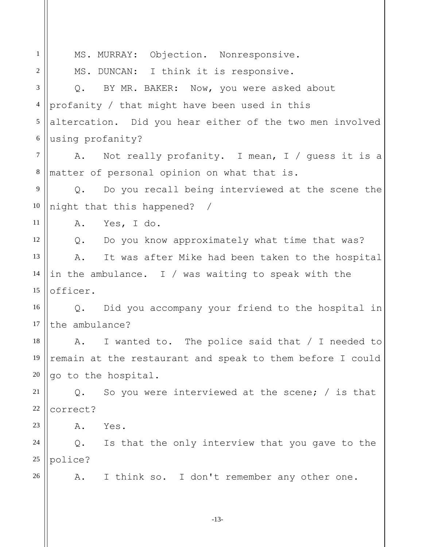1 2 3 4 5 6 7 8 9 10 11 12 13 14 15 16 17 18 19 20 21 22 23 24 25 26 MS. MURRAY: Objection. Nonresponsive. MS. DUNCAN: I think it is responsive. Q. BY MR. BAKER: Now, you were asked about profanity / that might have been used in this altercation. Did you hear either of the two men involved using profanity? A. Not really profanity. I mean, I / guess it is a matter of personal opinion on what that is. Q. Do you recall being interviewed at the scene the night that this happened? / A. Yes, I do. Q. Do you know approximately what time that was? A. It was after Mike had been taken to the hospital in the ambulance. I / was waiting to speak with the officer. Q. Did you accompany your friend to the hospital in the ambulance? A. I wanted to. The police said that / I needed to remain at the restaurant and speak to them before I could go to the hospital. Q. So you were interviewed at the scene; / is that correct? A. Yes. Q. Is that the only interview that you gave to the police? A. I think so. I don't remember any other one. -13-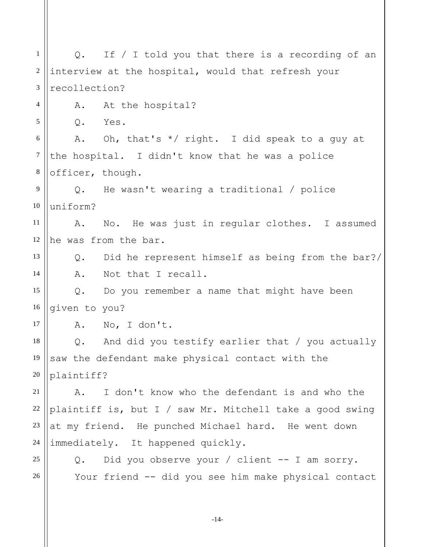Your friend -- did you see him make physical contact 1 2 3 4 5 6 7 8 9 10 11 12 13 14 15 16 17 18 19 20 21 22 23 24 25 26 Q. If / I told you that there is a recording of an interview at the hospital, would that refresh your recollection? A. At the hospital? Q. Yes. A. Oh, that's  $*/$  right. I did speak to a guy at the hospital. I didn't know that he was a police officer, though. Q. He wasn't wearing a traditional / police uniform? A. No. He was just in regular clothes. I assumed he was from the bar. Q. Did he represent himself as being from the bar?/ A. Not that I recall. Q. Do you remember a name that might have been given to you? A. No, I don't. Q. And did you testify earlier that / you actually saw the defendant make physical contact with the plaintiff? A. I don't know who the defendant is and who the plaintiff is, but I / saw Mr. Mitchell take a good swing at my friend. He punched Michael hard. He went down immediately. It happened quickly. Q. Did you observe your / client -- I am sorry.

-14-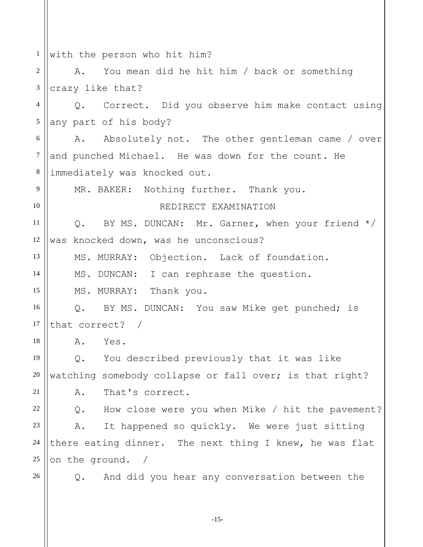1 with the person who hit him?

2 3 A. You mean did he hit him / back or something crazy like that?

Q. Correct. Did you observe him make contact using 4 5 any part of his body?

6 7 8 A. Absolutely not. The other gentleman came / over and punched Michael. He was down for the count. He immediately was knocked out.

MR. BAKER: Nothing further. Thank you.

REDIRECT EXAMINATION

11 12 Q. BY MS. DUNCAN: Mr. Garner, when your friend \*/ was knocked down, was he unconscious?

MS. MURRAY: Objection. Lack of foundation.

MS. DUNCAN: I can rephrase the question.

MS. MURRAY: Thank you.

16 17 Q. BY MS. DUNCAN: You saw Mike get punched; is that correct? /

A. Yes.

19 20 21 Q. You described previously that it was like watching somebody collapse or fall over; is that right?

A. That's correct.

22 23 24 25 Q. How close were you when Mike / hit the pavement? A. It happened so quickly. We were just sitting there eating dinner. The next thing I knew, he was flat on the ground. /

26

9

10

13

14

15

18

Q. And did you hear any conversation between the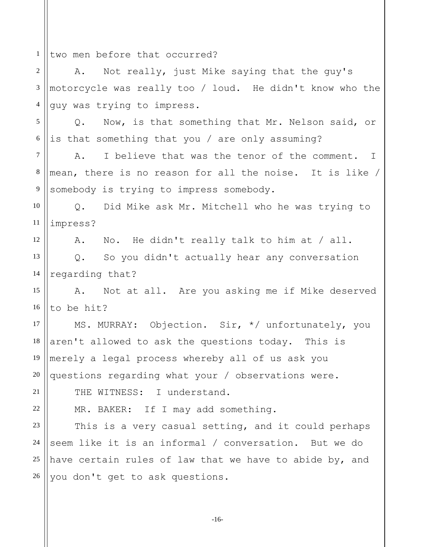1 two men before that occurred?

12

19

21

22

2 3 4 A. Not really, just Mike saying that the guy's motorcycle was really too / loud. He didn't know who the guy was trying to impress.

5 6 Q. Now, is that something that Mr. Nelson said, or is that something that you / are only assuming?

7 8 9 A. I believe that was the tenor of the comment. mean, there is no reason for all the noise. It is like / somebody is trying to impress somebody. I

10 11 Q. Did Mike ask Mr. Mitchell who he was trying to impress?

A. No. He didn't really talk to him at / all.

13 14 Q. So you didn't actually hear any conversation regarding that?

15 16 A. Not at all. Are you asking me if Mike deserved to be hit?

 MS. MURRAY: Objection. Sir, \*/ unfortunately, you 17 18 20 aren't allowed to ask the questions today. This is merely a legal process whereby all of us ask you questions regarding what your / observations were.

THE WITNESS: I understand.

MR. BAKER: If I may add something.

23 24 25 26 This is a very casual setting, and it could perhaps seem like it is an informal / conversation. But we do have certain rules of law that we have to abide by, and you don't get to ask questions.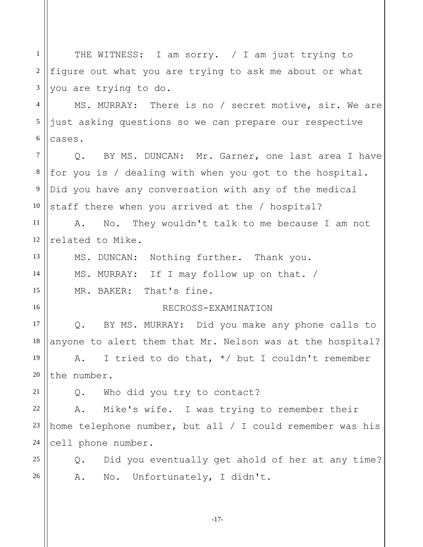1 2 3 4 5 6 7 8 9 10 11 12 13 14 15 16 17 18 19 20 21 22 23 24 25 26 THE WITNESS: I am sorry. / I am just trying to figure out what you are trying to ask me about or what you are trying to do. MS. MURRAY: There is no / secret motive, sir. We are just asking questions so we can prepare our respective cases. Q. BY MS. DUNCAN: Mr. Garner, one last area I have for you is / dealing with when you got to the hospital. Did you have any conversation with any of the medical staff there when you arrived at the / hospital? A. No. They wouldn't talk to me because I am not related to Mike. MS. DUNCAN: Nothing further. Thank you. MS. MURRAY: If I may follow up on that. / MR. BAKER: That's fine. RECROSS-EXAMINATION Q. BY MS. MURRAY: Did you make any phone calls to anyone to alert them that Mr. Nelson was at the hospital? A. I tried to do that,  $*/$  but I couldn't remember the number. Q. Who did you try to contact? A. Mike's wife. I was trying to remember their home telephone number, but all / I could remember was his cell phone number. Q. Did you eventually get ahold of her at any time? A. No. Unfortunately, I didn't.

-17-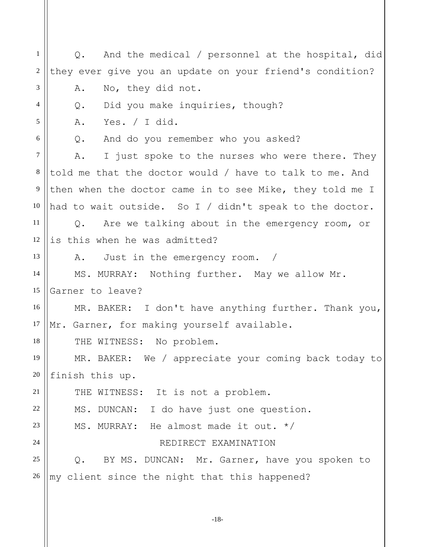A. Yes. / I did. 1 2 3 4 5 6 7 8 9 10 11 12 13 14 15 16 17 18 19 20 21 22 23 24 25 26 Q. And the medical / personnel at the hospital, did they ever give you an update on your friend's condition? A. No, they did not. Q. Did you make inquiries, though? Q. And do you remember who you asked? A. I just spoke to the nurses who were there. They told me that the doctor would / have to talk to me. And then when the doctor came in to see Mike, they told me I had to wait outside. So I / didn't speak to the doctor. Q. Are we talking about in the emergency room, or is this when he was admitted? A. Just in the emergency room. MS. MURRAY: Nothing further. May we allow Mr. Garner to leave? MR. BAKER: I don't have anything further. Thank you, Mr. Garner, for making yourself available. THE WITNESS: No problem. MR. BAKER: We / appreciate your coming back today to finish this up. THE WITNESS: It is not a problem. MS. DUNCAN: I do have just one question. MS. MURRAY: He almost made it out. \*/ REDIRECT EXAMINATION Q. BY MS. DUNCAN: Mr. Garner, have you spoken to my client since the night that this happened?

-18-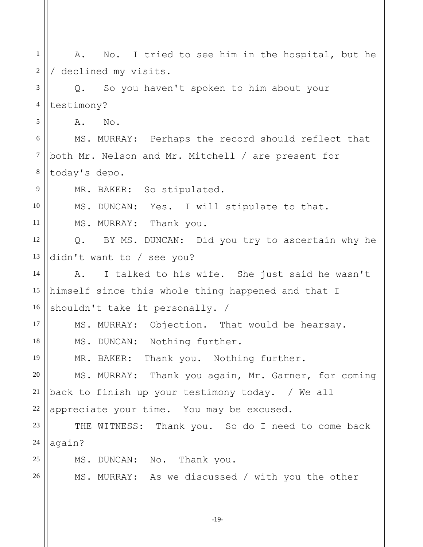| $\mathbf{1}$   | No. I tried to see him in the hospital, but he<br>Α.     |
|----------------|----------------------------------------------------------|
| 2              | / declined my visits.                                    |
| 3              | So you haven't spoken to him about your<br>$Q_{\bullet}$ |
| $\overline{4}$ | testimony?                                               |
| 5              | A.<br>No.                                                |
| 6              | MS. MURRAY: Perhaps the record should reflect that       |
| $\tau$         | both Mr. Nelson and Mr. Mitchell / are present for       |
| $\,8\,$        | today's depo.                                            |
| 9              | MR. BAKER: So stipulated.                                |
| 10             | MS. DUNCAN: Yes. I will stipulate to that.               |
| 11             | MS. MURRAY: Thank you.                                   |
| 12             | Q. BY MS. DUNCAN: Did you try to ascertain why he        |
| 13             | didn't want to / see you?                                |
| 14             | I talked to his wife. She just said he wasn't<br>A.      |
| 15             | himself since this whole thing happened and that I       |
| 16             | shouldn't take it personally. /                          |
| 17             | MS. MURRAY: Objection. That would be hearsay.            |
| 18             | MS. DUNCAN: Nothing further.                             |
| 19             | MR. BAKER: Thank you. Nothing further.                   |
| 20             | MS. MURRAY: Thank you again, Mr. Garner, for coming      |
| 21             | back to finish up your testimony today. / We all         |
| 22             | appreciate your time. You may be excused.                |
| 23             | THE WITNESS: Thank you. So do I need to come back        |
| 24             | again?                                                   |
| 25             | MS. DUNCAN: No. Thank you.                               |
| 26             | MS. MURRAY: As we discussed / with you the other         |
|                |                                                          |

-19-